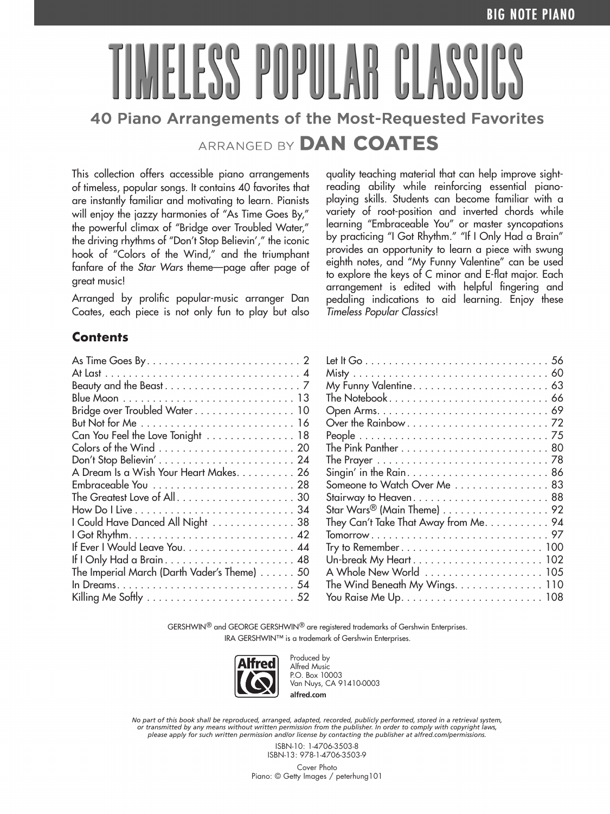# ESS POPULAR CLASS 40 Piano Arrangements of the Most-Requested Favorites ARRANGED BY DAN COATES

This collection offers accessible piano arrangements of timeless, popular songs. It contains 40 favorites that are instantly familiar and motivating to learn. Pianists will enjoy the jazzy harmonies of "As Time Goes By," the powerful climax of "Bridge over Troubled Water," the driving rhythms of "Don't Stop Believin'," the iconic hook of "Colors of the Wind," and the triumphant fanfare of the *Star Wars* theme—page after page of great music!

Arranged by prolific popular-music arranger Dan Coates, each piece is not only fun to play but also quality teaching material that can help improve sightreading ability while reinforcing essential pianoplaying skills. Students can become familiar with a variety of root-position and inverted chords while learning "Embraceable You" or master syncopations by practicing "I Got Rhythm." "If I Only Had a Brain" provides an opportunity to learn a piece with swung eighth notes, and "My Funny Valentine" can be used to explore the keys of C minor and E-flat major. Each arrangement is edited with helpful fingering and pedaling indications to aid learning. Enjoy these *Timeless Popular Classics*!

### **Contents**

| Bridge over Troubled Water 10                                          |
|------------------------------------------------------------------------|
|                                                                        |
| Can You Feel the Love Tonight 18                                       |
|                                                                        |
|                                                                        |
| A Dream Is a Wish Your Heart Makes. 26                                 |
|                                                                        |
| The Greatest Love of All30                                             |
|                                                                        |
| I Could Have Danced All Night 38                                       |
|                                                                        |
| If Ever I Would Leave You. 44                                          |
|                                                                        |
| The Imperial March (Darth Vader's Theme) 50                            |
|                                                                        |
| Killing Me Softly $\dots\dots\dots\dots\dots\dots\dots\dots\dots\dots$ |
|                                                                        |

| Someone to Watch Over Me  83                                           |
|------------------------------------------------------------------------|
|                                                                        |
| Star Wars <sup>®</sup> (Main Theme) $\dots\dots\dots\dots\dots\dots92$ |
| They Can't Take That Away from Me. 94                                  |
|                                                                        |
|                                                                        |
|                                                                        |
| A Whole New World  105                                                 |
| The Wind Beneath My Wings. 110                                         |
|                                                                        |
|                                                                        |

GERSHWIN® and GEORGE GERSHWIN® are registered trademarks of Gershwin Enterprises. IRA GERSHWIN™ is a trademark of Gershwin Enterprises.



Produced by Alfred Music P.O. Box 10003 Van Nuys, CA 91410-0003 **alfred.com**

No part of this book shall be reproduced, arranged, adapted, recorded, publicly performed, stored in a retrieval system,<br>or transmitted by any means without written permission from the publisher. In order to comply with co *please apply for such written permission and/or license by contacting the publisher at alfred.com/permissions.*

> ISBN-10: 1-4706-3503-8 ISBN-13: 978-1-4706-3503-9

Cover Photo Piano: © Getty Images / peterhung101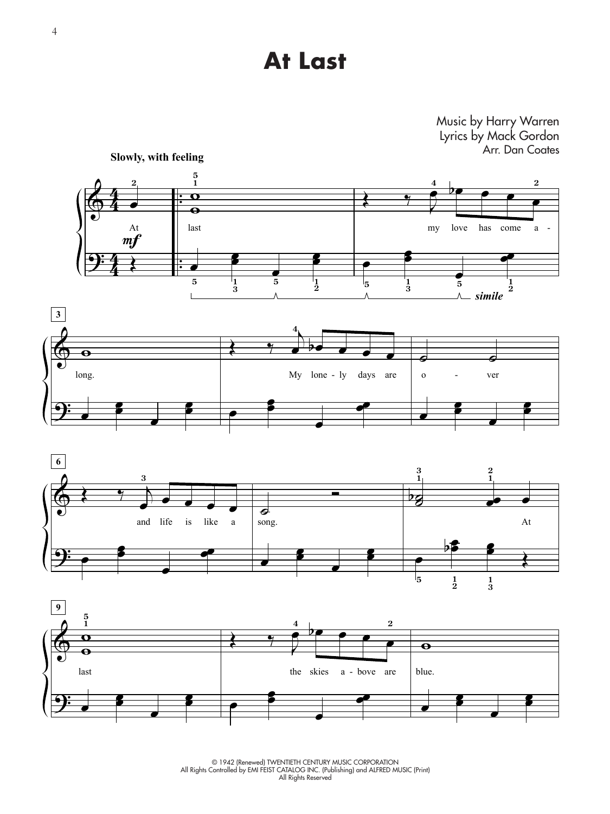### **At Last**

#### Music by Harry Warren Lyrics by Mack Gordon Arr. Dan Coates







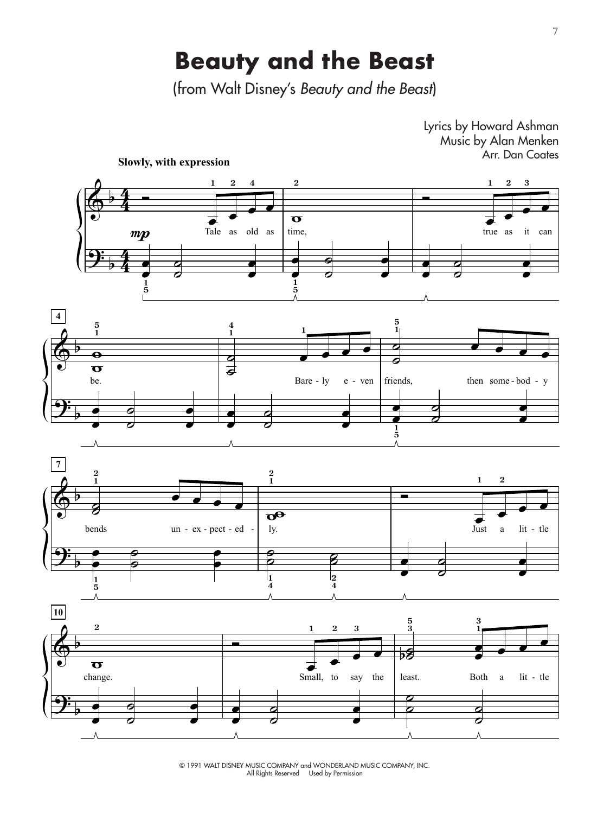### **Beauty and the Beast**

(from Walt Disney's *Beauty and the Beast*)



© 1991 WALT DISNEY MUSIC COMPANY and WONDERLAND MUSIC COMPANY, INC. All Rights Reserved Used by Permission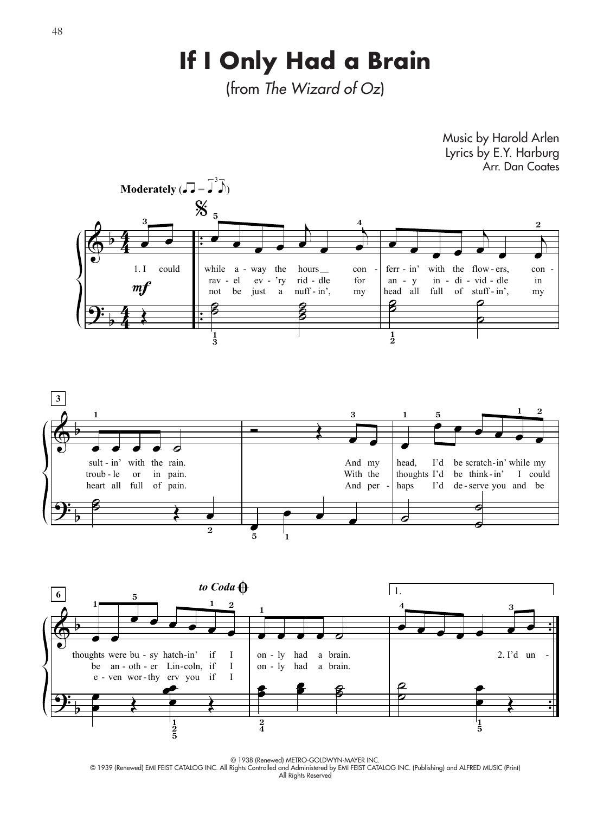## If I Only Had a Brain

(from The Wizard of Oz)



D 1938 (Renewed) METRO-GOLDWYN-MAYER INC.<br>O 1939 (Renewed) EMI FEIST CATALOG INC. All Rights Controlled and Administered by EMI FEIST CATALOG INC. (Publishing) and ALFRED MUSIC (Print) All Rights Reserved